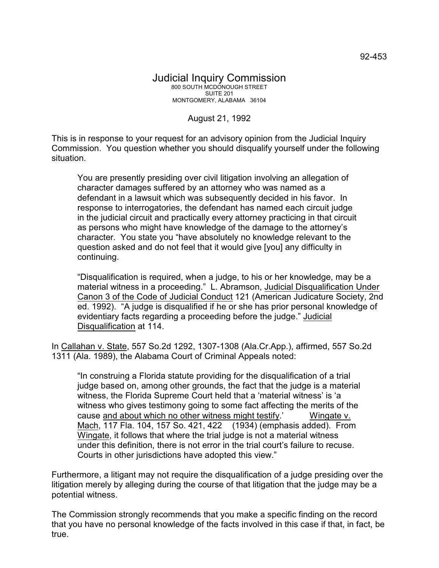August 21, 1992

This is in response to your request for an advisory opinion from the Judicial Inquiry Commission. You question whether you should disqualify yourself under the following situation.

You are presently presiding over civil litigation involving an allegation of character damages suffered by an attorney who was named as a defendant in a lawsuit which was subsequently decided in his favor. In response to interrogatories, the defendant has named each circuit judge in the judicial circuit and practically every attorney practicing in that circuit as persons who might have knowledge of the damage to the attorney's character. You state you "have absolutely no knowledge relevant to the question asked and do not feel that it would give [you] any difficulty in continuing.

"Disqualification is required, when a judge, to his or her knowledge, may be a material witness in a proceeding." L. Abramson, Judicial Disqualification Under Canon 3 of the Code of Judicial Conduct 121 (American Judicature Society, 2nd ed. 1992). "A judge is disqualified if he or she has prior personal knowledge of evidentiary facts regarding a proceeding before the judge." Judicial Disqualification at 114.

In Callahan v. State, 557 So.2d 1292, 1307-1308 (Ala.Cr.App.), affirmed, 557 So.2d 1311 (Ala. 1989), the Alabama Court of Criminal Appeals noted:

"In construing a Florida statute providing for the disqualification of a trial judge based on, among other grounds, the fact that the judge is a material witness, the Florida Supreme Court held that a 'material witness' is 'a witness who gives testimony going to some fact affecting the merits of the cause and about which no other witness might testify.' Wingate v. Mach, 117 Fla. 104, 157 So. 421, 422 (1934) (emphasis added). From Wingate, it follows that where the trial judge is not a material witness under this definition, there is not error in the trial court's failure to recuse. Courts in other jurisdictions have adopted this view."

Furthermore, a litigant may not require the disqualification of a judge presiding over the litigation merely by alleging during the course of that litigation that the judge may be a potential witness.

The Commission strongly recommends that you make a specific finding on the record that you have no personal knowledge of the facts involved in this case if that, in fact, be true.